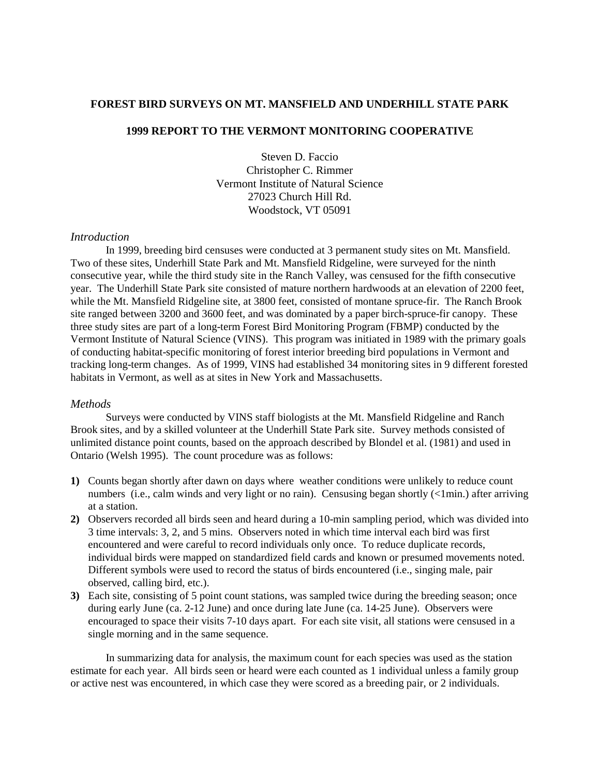# **FOREST BIRD SURVEYS ON MT. MANSFIELD AND UNDERHILL STATE PARK**

# **1999 REPORT TO THE VERMONT MONITORING COOPERATIVE**

Steven D. Faccio Christopher C. Rimmer Vermont Institute of Natural Science 27023 Church Hill Rd. Woodstock, VT 05091

## *Introduction*

In 1999, breeding bird censuses were conducted at 3 permanent study sites on Mt. Mansfield. Two of these sites, Underhill State Park and Mt. Mansfield Ridgeline, were surveyed for the ninth consecutive year, while the third study site in the Ranch Valley, was censused for the fifth consecutive year. The Underhill State Park site consisted of mature northern hardwoods at an elevation of 2200 feet, while the Mt. Mansfield Ridgeline site, at 3800 feet, consisted of montane spruce-fir. The Ranch Brook site ranged between 3200 and 3600 feet, and was dominated by a paper birch-spruce-fir canopy. These three study sites are part of a long-term Forest Bird Monitoring Program (FBMP) conducted by the Vermont Institute of Natural Science (VINS). This program was initiated in 1989 with the primary goals of conducting habitat-specific monitoring of forest interior breeding bird populations in Vermont and tracking long-term changes. As of 1999, VINS had established 34 monitoring sites in 9 different forested habitats in Vermont, as well as at sites in New York and Massachusetts.

### *Methods*

Surveys were conducted by VINS staff biologists at the Mt. Mansfield Ridgeline and Ranch Brook sites, and by a skilled volunteer at the Underhill State Park site. Survey methods consisted of unlimited distance point counts, based on the approach described by Blondel et al. (1981) and used in Ontario (Welsh 1995). The count procedure was as follows:

- **1)** Counts began shortly after dawn on days where weather conditions were unlikely to reduce count numbers (i.e., calm winds and very light or no rain). Censusing began shortly (<1min.) after arriving at a station.
- **2)** Observers recorded all birds seen and heard during a 10-min sampling period, which was divided into 3 time intervals: 3, 2, and 5 mins. Observers noted in which time interval each bird was first encountered and were careful to record individuals only once. To reduce duplicate records, individual birds were mapped on standardized field cards and known or presumed movements noted. Different symbols were used to record the status of birds encountered (i.e., singing male, pair observed, calling bird, etc.).
- **3)** Each site, consisting of 5 point count stations, was sampled twice during the breeding season; once during early June (ca. 2-12 June) and once during late June (ca. 14-25 June). Observers were encouraged to space their visits 7-10 days apart. For each site visit, all stations were censused in a single morning and in the same sequence.

In summarizing data for analysis, the maximum count for each species was used as the station estimate for each year. All birds seen or heard were each counted as 1 individual unless a family group or active nest was encountered, in which case they were scored as a breeding pair, or 2 individuals.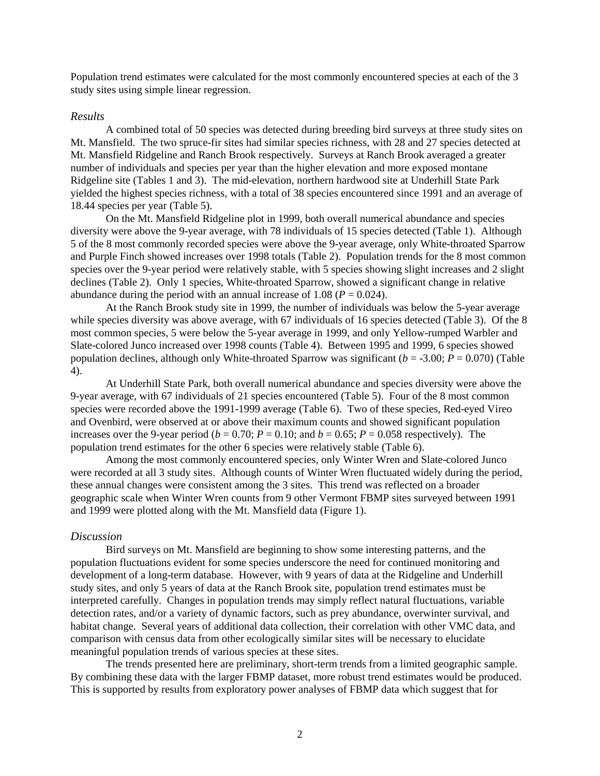Population trend estimates were calculated for the most commonly encountered species at each of the 3 study sites using simple linear regression.

### *Results*

A combined total of 50 species was detected during breeding bird surveys at three study sites on Mt. Mansfield. The two spruce-fir sites had similar species richness, with 28 and 27 species detected at Mt. Mansfield Ridgeline and Ranch Brook respectively. Surveys at Ranch Brook averaged a greater number of individuals and species per year than the higher elevation and more exposed montane Ridgeline site (Tables 1 and 3). The mid-elevation, northern hardwood site at Underhill State Park yielded the highest species richness, with a total of 38 species encountered since 1991 and an average of 18.44 species per year (Table 5).

 On the Mt. Mansfield Ridgeline plot in 1999, both overall numerical abundance and species diversity were above the 9-year average, with 78 individuals of 15 species detected (Table 1). Although 5 of the 8 most commonly recorded species were above the 9-year average, only White-throated Sparrow and Purple Finch showed increases over 1998 totals (Table 2). Population trends for the 8 most common species over the 9-year period were relatively stable, with 5 species showing slight increases and 2 slight declines (Table 2). Only 1 species, White-throated Sparrow, showed a significant change in relative abundance during the period with an annual increase of 1.08 ( $P = 0.024$ ).

 At the Ranch Brook study site in 1999, the number of individuals was below the 5-year average while species diversity was above average, with 67 individuals of 16 species detected (Table 3). Of the 8 most common species, 5 were below the 5-year average in 1999, and only Yellow-rumped Warbler and Slate-colored Junco increased over 1998 counts (Table 4). Between 1995 and 1999, 6 species showed population declines, although only White-throated Sparrow was significant ( $b = -3.00$ ;  $P = 0.070$ ) (Table 4).

 At Underhill State Park, both overall numerical abundance and species diversity were above the 9-year average, with 67 individuals of 21 species encountered (Table 5). Four of the 8 most common species were recorded above the 1991-1999 average (Table 6). Two of these species, Red-eyed Vireo and Ovenbird, were observed at or above their maximum counts and showed significant population increases over the 9-year period ( $b = 0.70$ ;  $P = 0.10$ ; and  $b = 0.65$ ;  $P = 0.058$  respectively). The population trend estimates for the other 6 species were relatively stable (Table 6).

 Among the most commonly encountered species, only Winter Wren and Slate-colored Junco were recorded at all 3 study sites. Although counts of Winter Wren fluctuated widely during the period, these annual changes were consistent among the 3 sites. This trend was reflected on a broader geographic scale when Winter Wren counts from 9 other Vermont FBMP sites surveyed between 1991 and 1999 were plotted along with the Mt. Mansfield data (Figure 1).

### *Discussion*

Bird surveys on Mt. Mansfield are beginning to show some interesting patterns, and the population fluctuations evident for some species underscore the need for continued monitoring and development of a long-term database. However, with 9 years of data at the Ridgeline and Underhill study sites, and only 5 years of data at the Ranch Brook site, population trend estimates must be interpreted carefully. Changes in population trends may simply reflect natural fluctuations, variable detection rates, and/or a variety of dynamic factors, such as prey abundance, overwinter survival, and habitat change. Several years of additional data collection, their correlation with other VMC data, and comparison with census data from other ecologically similar sites will be necessary to elucidate meaningful population trends of various species at these sites.

 The trends presented here are preliminary, short-term trends from a limited geographic sample. By combining these data with the larger FBMP dataset, more robust trend estimates would be produced. This is supported by results from exploratory power analyses of FBMP data which suggest that for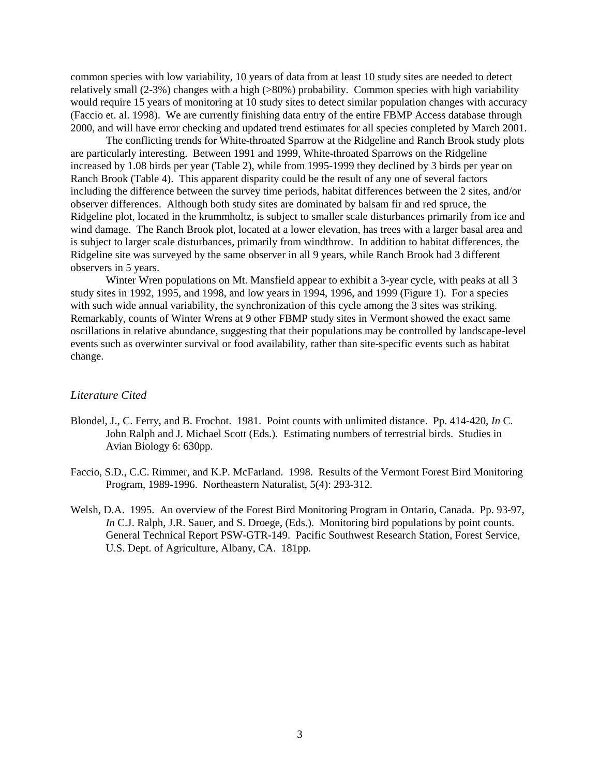common species with low variability, 10 years of data from at least 10 study sites are needed to detect relatively small (2-3%) changes with a high (>80%) probability. Common species with high variability would require 15 years of monitoring at 10 study sites to detect similar population changes with accuracy (Faccio et. al. 1998). We are currently finishing data entry of the entire FBMP Access database through 2000, and will have error checking and updated trend estimates for all species completed by March 2001.

 The conflicting trends for White-throated Sparrow at the Ridgeline and Ranch Brook study plots are particularly interesting. Between 1991 and 1999, White-throated Sparrows on the Ridgeline increased by 1.08 birds per year (Table 2), while from 1995-1999 they declined by 3 birds per year on Ranch Brook (Table 4). This apparent disparity could be the result of any one of several factors including the difference between the survey time periods, habitat differences between the 2 sites, and/or observer differences. Although both study sites are dominated by balsam fir and red spruce, the Ridgeline plot, located in the krummholtz, is subject to smaller scale disturbances primarily from ice and wind damage. The Ranch Brook plot, located at a lower elevation, has trees with a larger basal area and is subject to larger scale disturbances, primarily from windthrow. In addition to habitat differences, the Ridgeline site was surveyed by the same observer in all 9 years, while Ranch Brook had 3 different observers in 5 years.

 Winter Wren populations on Mt. Mansfield appear to exhibit a 3-year cycle, with peaks at all 3 study sites in 1992, 1995, and 1998, and low years in 1994, 1996, and 1999 (Figure 1). For a species with such wide annual variability, the synchronization of this cycle among the 3 sites was striking. Remarkably, counts of Winter Wrens at 9 other FBMP study sites in Vermont showed the exact same oscillations in relative abundance, suggesting that their populations may be controlled by landscape-level events such as overwinter survival or food availability, rather than site-specific events such as habitat change.

## *Literature Cited*

- Blondel, J., C. Ferry, and B. Frochot. 1981. Point counts with unlimited distance. Pp. 414-420, *In* C. John Ralph and J. Michael Scott (Eds.). Estimating numbers of terrestrial birds. Studies in Avian Biology 6: 630pp.
- Faccio, S.D., C.C. Rimmer, and K.P. McFarland. 1998. Results of the Vermont Forest Bird Monitoring Program, 1989-1996. Northeastern Naturalist, 5(4): 293-312.
- Welsh, D.A. 1995. An overview of the Forest Bird Monitoring Program in Ontario, Canada. Pp. 93-97, *In* C.J. Ralph, J.R. Sauer, and S. Droege, (Eds.). Monitoring bird populations by point counts. General Technical Report PSW-GTR-149. Pacific Southwest Research Station, Forest Service, U.S. Dept. of Agriculture, Albany, CA. 181pp.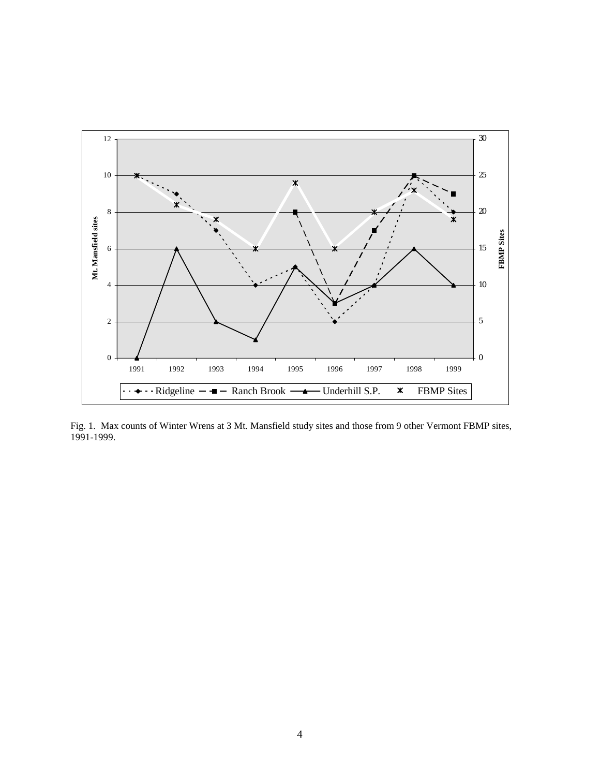

Fig. 1. Max counts of Winter Wrens at 3 Mt. Mansfield study sites and those from 9 other Vermont FBMP sites, 1991-1999.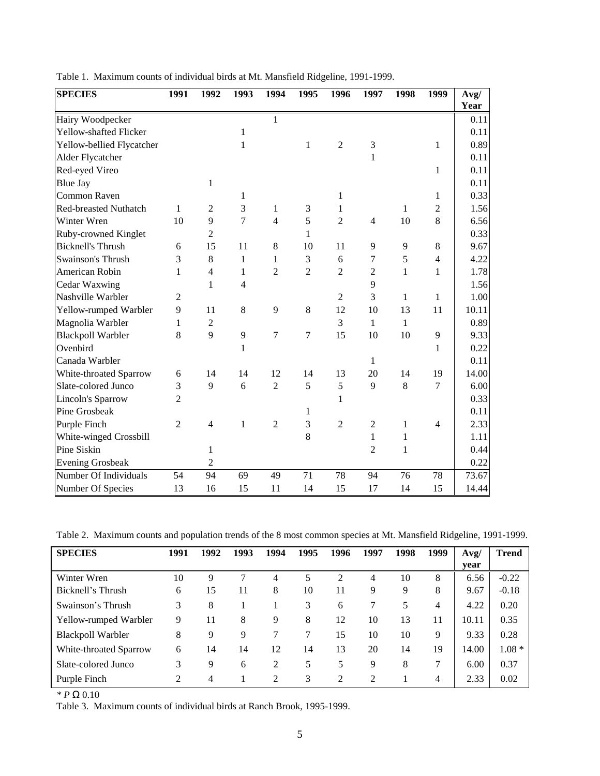| <b>SPECIES</b>            | 1991           | 1992           | 1993         | 1994           | 1995           | 1996           | 1997           | 1998         | 1999           | Avg/  |
|---------------------------|----------------|----------------|--------------|----------------|----------------|----------------|----------------|--------------|----------------|-------|
|                           |                |                |              |                |                |                |                |              |                | Year  |
| Hairy Woodpecker          |                |                |              | 1              |                |                |                |              |                | 0.11  |
| Yellow-shafted Flicker    |                |                | $\mathbf{1}$ |                |                |                |                |              |                | 0.11  |
| Yellow-bellied Flycatcher |                |                | 1            |                | $\mathbf{1}$   | $\overline{2}$ | 3              |              | $\mathbf{1}$   | 0.89  |
| Alder Flycatcher          |                |                |              |                |                |                | $\mathbf{1}$   |              |                | 0.11  |
| Red-eyed Vireo            |                |                |              |                |                |                |                |              | $\mathbf{1}$   | 0.11  |
| <b>Blue Jay</b>           |                | 1              |              |                |                |                |                |              |                | 0.11  |
| Common Raven              |                |                | 1            |                |                | 1              |                |              | $\mathbf 1$    | 0.33  |
| Red-breasted Nuthatch     | 1              | $\overline{2}$ | 3            | $\mathbf 1$    | 3              | 1              |                | 1            | $\overline{2}$ | 1.56  |
| Winter Wren               | 10             | 9              | 7            | $\overline{4}$ | 5              | $\overline{2}$ | $\overline{4}$ | 10           | 8              | 6.56  |
| Ruby-crowned Kinglet      |                | $\overline{2}$ |              |                | 1              |                |                |              |                | 0.33  |
| <b>Bicknell's Thrush</b>  | 6              | 15             | 11           | 8              | 10             | 11             | 9              | 9            | 8              | 9.67  |
| Swainson's Thrush         | 3              | 8              | 1            | $\mathbf{1}$   | 3              | 6              | 7              | 5            | $\overline{4}$ | 4.22  |
| American Robin            | 1              | $\overline{4}$ | 1            | $\overline{c}$ | $\overline{2}$ | $\overline{2}$ | 2              | $\mathbf{1}$ | 1              | 1.78  |
| Cedar Waxwing             |                | 1              | 4            |                |                |                | 9              |              |                | 1.56  |
| Nashville Warbler         | $\overline{2}$ |                |              |                |                | $\overline{2}$ | 3              | $\mathbf 1$  | $\mathbf{1}$   | 1.00  |
| Yellow-rumped Warbler     | 9              | 11             | 8            | 9              | 8              | 12             | 10             | 13           | 11             | 10.11 |
| Magnolia Warbler          | 1              | $\overline{2}$ |              |                |                | 3              | $\mathbf{1}$   | $\mathbf{1}$ |                | 0.89  |
| <b>Blackpoll Warbler</b>  | 8              | $\mathbf{Q}$   | 9            | $\tau$         | $\overline{7}$ | 15             | 10             | 10           | 9              | 9.33  |
| Ovenbird                  |                |                | 1            |                |                |                |                |              | 1              | 0.22  |
| Canada Warbler            |                |                |              |                |                |                | 1              |              |                | 0.11  |
| White-throated Sparrow    | 6              | 14             | 14           | 12             | 14             | 13             | 20             | 14           | 19             | 14.00 |
| Slate-colored Junco       | 3              | 9              | 6            | $\overline{2}$ | 5              | 5              | 9              | 8            | $\overline{7}$ | 6.00  |
| Lincoln's Sparrow         | $\overline{2}$ |                |              |                |                | 1              |                |              |                | 0.33  |
| Pine Grosbeak             |                |                |              |                | 1              |                |                |              |                | 0.11  |
| Purple Finch              | $\overline{2}$ | $\overline{4}$ | $\mathbf{1}$ | $\overline{2}$ | 3              | $\overline{2}$ | $\mathfrak{2}$ | 1            | $\overline{4}$ | 2.33  |
| White-winged Crossbill    |                |                |              |                | 8              |                | 1              | $\mathbf{1}$ |                | 1.11  |
| Pine Siskin               |                | 1              |              |                |                |                | $\overline{2}$ | 1            |                | 0.44  |
| <b>Evening Grosbeak</b>   |                | 2              |              |                |                |                |                |              |                | 0.22  |
| Number Of Individuals     | 54             | 94             | 69           | 49             | 71             | 78             | 94             | 76           | 78             | 73.67 |
| Number Of Species         | 13             | 16             | 15           | 11             | 14             | 15             | 17             | 14           | 15             | 14.44 |

Table 1. Maximum counts of individual birds at Mt. Mansfield Ridgeline, 1991-1999.

Table 2. Maximum counts and population trends of the 8 most common species at Mt. Mansfield Ridgeline, 1991-1999.

| <b>SPECIES</b>           | 1991 | 1992 | 1993 | 1994 | 1995 | 1996 | 1997 | 1998 | 1999 | Avg/  | <b>Trend</b> |
|--------------------------|------|------|------|------|------|------|------|------|------|-------|--------------|
|                          |      |      |      |      |      |      |      |      |      | year  |              |
| Winter Wren              | 10   | 9    | 7    | 4    | 5    | ↑    | 4    | 10   | 8    | 6.56  | $-0.22$      |
| Bicknell's Thrush        | 6    | 15   | 11   | 8    | 10   | 11   | 9    | 9    | 8    | 9.67  | $-0.18$      |
| Swainson's Thrush        | 3    | 8    |      |      | 3    | 6    | 7    | 5    | 4    | 4.22  | 0.20         |
| Yellow-rumped Warbler    | 9    | 11   | 8    | 9    | 8    | 12   | 10   | 13   | 11   | 10.11 | 0.35         |
| <b>Blackpoll Warbler</b> | 8    | 9    | 9    |      | 7    | 15   | 10   | 10   | 9    | 9.33  | 0.28         |
| White-throated Sparrow   | 6    | 14   | 14   | 12   | 14   | 13   | 20   | 14   | 19   | 14.00 | $1.08 *$     |
| Slate-colored Junco      | 3    | 9    | 6    | 2    | 5    | 5    | 9    | 8    | 7    | 6.00  | 0.37         |
| Purple Finch             | 2    | 4    |      | 2    | 3    | 2    | 2    |      | 4    | 2.33  | 0.02         |

*\* P* Ω 0.10

Table 3. Maximum counts of individual birds at Ranch Brook, 1995-1999.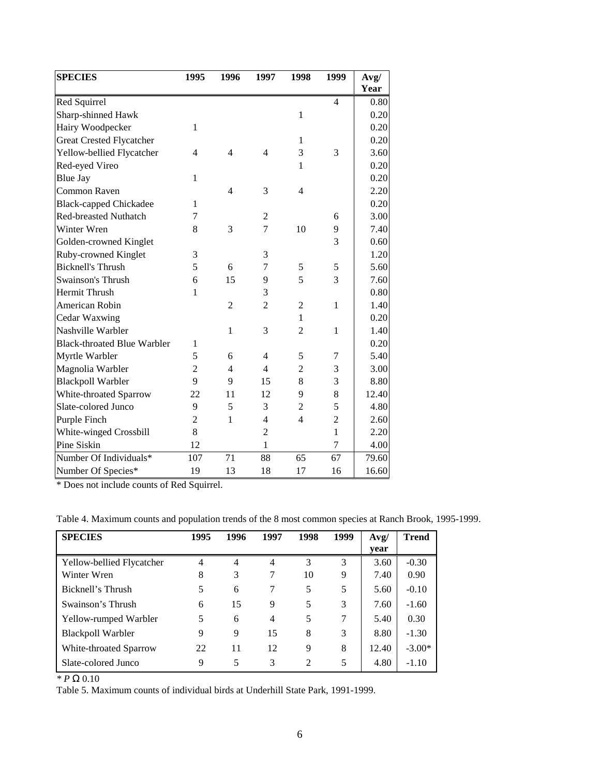| <b>SPECIES</b>                     | 1995           | 1996           | 1997           | 1998           | 1999           | Avg/         |
|------------------------------------|----------------|----------------|----------------|----------------|----------------|--------------|
|                                    |                |                |                |                | $\overline{4}$ | Year         |
| Red Squirrel<br>Sharp-shinned Hawk |                |                |                | 1              |                | 0.80<br>0.20 |
|                                    | $\mathbf{1}$   |                |                |                |                | 0.20         |
| Hairy Woodpecker                   |                |                |                | 1              |                | 0.20         |
| Great Crested Flycatcher           |                |                |                |                |                |              |
| Yellow-bellied Flycatcher          | $\overline{4}$ | $\overline{4}$ | $\overline{4}$ | 3              | 3              | 3.60         |
| Red-eyed Vireo                     |                |                |                | 1              |                | 0.20         |
| <b>Blue Jay</b>                    | $\mathbf{1}$   |                |                |                |                | 0.20         |
| Common Raven                       |                | 4              | 3              | $\overline{4}$ |                | 2.20         |
| <b>Black-capped Chickadee</b>      | 1              |                |                |                |                | 0.20         |
| <b>Red-breasted Nuthatch</b>       | 7              |                | 2              |                | 6              | 3.00         |
| Winter Wren                        | 8              | 3              | 7              | 10             | 9              | 7.40         |
| Golden-crowned Kinglet             |                |                |                |                | 3              | 0.60         |
| Ruby-crowned Kinglet               | 3              |                | 3              |                |                | 1.20         |
| <b>Bicknell's Thrush</b>           | 5              | 6              | 7              | 5              | 5              | 5.60         |
| Swainson's Thrush                  | 6              | 15             | 9              | 5              | 3              | 7.60         |
| Hermit Thrush                      | 1              |                | 3              |                |                | 0.80         |
| American Robin                     |                | $\overline{2}$ | $\overline{2}$ | $\overline{2}$ | 1              | 1.40         |
| Cedar Waxwing                      |                |                |                | 1              |                | 0.20         |
| Nashville Warbler                  |                | $\mathbf{1}$   | 3              | $\overline{2}$ | $\mathbf{1}$   | 1.40         |
| <b>Black-throated Blue Warbler</b> | $\mathbf{1}$   |                |                |                |                | 0.20         |
| Myrtle Warbler                     | 5              | 6              | 4              | 5              | 7              | 5.40         |
| Magnolia Warbler                   | $\overline{2}$ | $\overline{4}$ | $\overline{4}$ | $\overline{c}$ | 3              | 3.00         |
| <b>Blackpoll Warbler</b>           | 9              | 9              | 15             | 8              | 3              | 8.80         |
| White-throated Sparrow             | 22             | 11             | 12             | 9              | 8              | 12.40        |
| Slate-colored Junco                | 9              | 5              | 3              | $\overline{c}$ | 5              | 4.80         |
| Purple Finch                       | $\overline{c}$ | 1              | $\overline{4}$ | $\overline{4}$ | $\overline{c}$ | 2.60         |
| White-winged Crossbill             | 8              |                | $\overline{2}$ |                | $\mathbf{1}$   | 2.20         |
| Pine Siskin                        | 12             |                | $\mathbf{1}$   |                | $\overline{7}$ | 4.00         |
| Number Of Individuals*             | 107            | 71             | 88             | 65             | 67             | 79.60        |
| Number Of Species*                 | 19             | 13             | 18             | 17             | 16             | 16.60        |

\* Does not include counts of Red Squirrel.

Table 4. Maximum counts and population trends of the 8 most common species at Ranch Brook, 1995-1999.

| <b>SPECIES</b>            | 1995 | 1996 | 1997 | 1998           | 1999          | Avg/  | <b>Trend</b> |
|---------------------------|------|------|------|----------------|---------------|-------|--------------|
|                           |      |      |      |                |               | vear  |              |
| Yellow-bellied Flycatcher | 4    | 4    | 4    | 3              | $\mathcal{R}$ | 3.60  | $-0.30$      |
| Winter Wren               | 8    | 3    |      | 10             | 9             | 7.40  | 0.90         |
| Bicknell's Thrush         | 5    | 6    |      | 5              | 5             | 5.60  | $-0.10$      |
| Swainson's Thrush         | 6    | 15   | 9    | 5              | 3             | 7.60  | $-1.60$      |
| Yellow-rumped Warbler     | 5    | 6    | 4    | 5              | 7             | 5.40  | 0.30         |
| Blackpoll Warbler         | 9    | 9    | 15   | 8              | 3             | 8.80  | $-1.30$      |
| White-throated Sparrow    | 22   | 11   | 12   | 9              | 8             | 12.40 | $-3.00*$     |
| Slate-colored Junco       | 9    | 5    | 3    | $\mathfrak{D}$ | 5             | 4.80  | $-1.10$      |

*\* P* Ω 0.10

Table 5. Maximum counts of individual birds at Underhill State Park, 1991-1999.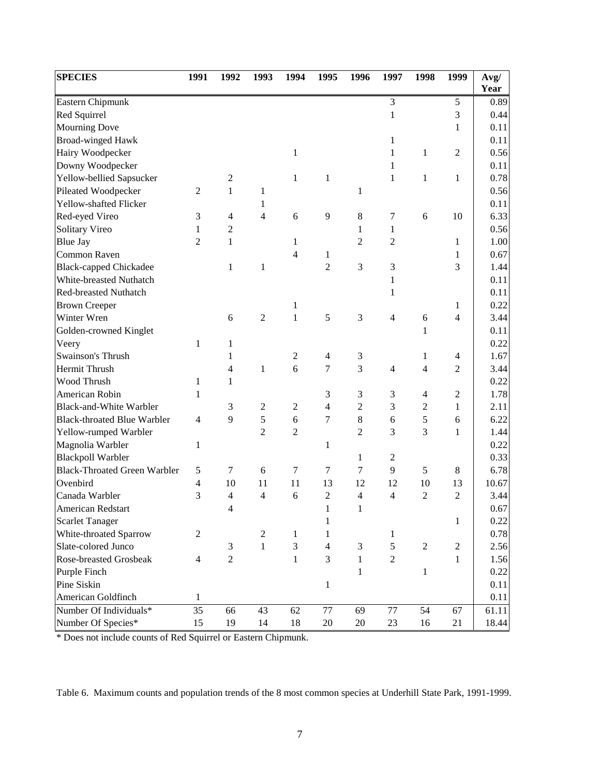| <b>SPECIES</b>                               | 1991           | 1992           | 1993           | 1994           | 1995           | 1996           | 1997           | 1998           | 1999             | Avg/         |
|----------------------------------------------|----------------|----------------|----------------|----------------|----------------|----------------|----------------|----------------|------------------|--------------|
| Eastern Chipmunk                             |                |                |                |                |                |                | 3              |                | 5                | Year<br>0.89 |
| Red Squirrel                                 |                |                |                |                |                |                | 1              |                | 3                | 0.44         |
| <b>Mourning Dove</b>                         |                |                |                |                |                |                |                |                | $\mathbf 1$      | 0.11         |
| <b>Broad-winged Hawk</b>                     |                |                |                |                |                |                | 1              |                |                  | 0.11         |
| Hairy Woodpecker                             |                |                |                | $\,1$          |                |                | $\mathbf{1}$   | 1              | $\overline{2}$   | 0.56         |
|                                              |                |                |                |                |                |                | 1              |                |                  |              |
| Downy Woodpecker<br>Yellow-bellied Sapsucker |                | $\overline{2}$ |                | 1              | 1              |                | $\mathbf{1}$   | $\mathbf{1}$   | $\mathbf{1}$     | 0.11<br>0.78 |
| Pileated Woodpecker                          | $\overline{2}$ | $\mathbf{1}$   |                |                |                |                |                |                |                  | 0.56         |
| Yellow-shafted Flicker                       |                |                | 1              |                |                | $\mathbf{1}$   |                |                |                  | 0.11         |
|                                              |                |                | 1              |                |                |                |                |                |                  |              |
| Red-eyed Vireo                               | 3              | $\overline{4}$ | 4              | 6              | 9              | 8              | 7              | 6              | 10               | 6.33         |
| Solitary Vireo                               | 1              | $\overline{c}$ |                |                |                | $\mathbf{1}$   | 1              |                |                  | 0.56         |
| <b>Blue Jay</b>                              | $\overline{2}$ | $\mathbf{1}$   |                | 1              |                | 2              | $\overline{c}$ |                | 1                | 1.00         |
| Common Raven                                 |                |                |                | 4              | 1              |                |                |                | $\mathbf{1}$     | 0.67         |
| <b>Black-capped Chickadee</b>                |                | 1              | $\mathbf{1}$   |                | $\overline{2}$ | 3              | 3              |                | 3                | 1.44         |
| White-breasted Nuthatch                      |                |                |                |                |                |                | 1              |                |                  | 0.11         |
| Red-breasted Nuthatch                        |                |                |                |                |                |                | 1              |                |                  | 0.11         |
| <b>Brown Creeper</b>                         |                |                |                | 1              |                |                |                |                | 1                | 0.22         |
| Winter Wren                                  |                | 6              | $\sqrt{2}$     | $\mathbf{1}$   | 5              | 3              | $\overline{4}$ | 6              | $\overline{4}$   | 3.44         |
| Golden-crowned Kinglet                       |                |                |                |                |                |                |                | $\mathbf{1}$   |                  | 0.11         |
| Veery                                        | $\mathbf{1}$   | 1              |                |                |                |                |                |                |                  | 0.22         |
| Swainson's Thrush                            |                | 1              |                | $\mathfrak{2}$ | 4              | 3              |                | 1              | $\overline{4}$   | 1.67         |
| Hermit Thrush                                |                | 4              | $\mathbf{1}$   | 6              | 7              | 3              | $\overline{4}$ | $\overline{4}$ | $\overline{2}$   | 3.44         |
| Wood Thrush                                  | 1              | 1              |                |                |                |                |                |                |                  | 0.22         |
| American Robin                               | 1              |                |                |                | 3              | 3              | 3              | $\overline{4}$ | $\sqrt{2}$       | 1.78         |
| <b>Black-and-White Warbler</b>               |                | 3              | $\mathfrak{2}$ | $\overline{2}$ | $\overline{4}$ | $\overline{c}$ | 3              | $\overline{2}$ | $\mathbf{1}$     | 2.11         |
| <b>Black-throated Blue Warbler</b>           | $\overline{4}$ | 9              | $\sqrt{5}$     | 6              | $\tau$         | $\,8\,$        | 6              | $\sqrt{5}$     | 6                | 6.22         |
| Yellow-rumped Warbler                        |                |                | $\overline{c}$ | $\overline{2}$ |                | $\overline{c}$ | 3              | 3              | $\mathbf{1}$     | 1.44         |
| Magnolia Warbler                             | $\mathbf{1}$   |                |                |                | 1              |                |                |                |                  | 0.22         |
| <b>Blackpoll Warbler</b>                     |                |                |                |                |                | $\mathbf{1}$   | $\overline{c}$ |                |                  | 0.33         |
| <b>Black-Throated Green Warbler</b>          | 5              | 7              | 6              | 7              | 7              | 7              | 9              | 5              | 8                | 6.78         |
| Ovenbird                                     | $\overline{4}$ | 10             | 11             | 11             | 13             | 12             | 12             | 10             | 13               | 10.67        |
| Canada Warbler                               | 3              | 4              | 4              | 6              | $\overline{2}$ | 4              | $\overline{4}$ | $\overline{2}$ | $\overline{2}$   | 3.44         |
| American Redstart                            |                | 4              |                |                | 1              | 1              |                |                |                  | 0.67         |
| <b>Scarlet Tanager</b>                       |                |                |                |                | $\mathbf{1}$   |                |                |                | $\mathbf{1}$     | 0.22         |
| White-throated Sparrow                       | $\overline{2}$ |                | $\mathfrak{2}$ | 1              | 1              |                | 1              |                |                  | 0.78         |
| Slate-colored Junco                          |                | $\mathfrak{Z}$ | $\,1$          | 3              | $\overline{4}$ | 3              | $\sqrt{5}$     | $\mathbf{2}$   | $\boldsymbol{2}$ | 2.56         |
| Rose-breasted Grosbeak                       | $\overline{4}$ | $\overline{2}$ |                | $\mathbf{1}$   | 3              | $\mathbf{1}$   | $\overline{c}$ |                | 1                | 1.56         |
| Purple Finch                                 |                |                |                |                |                | $\mathbf{1}$   |                | $\mathbf{1}$   |                  | 0.22         |
| Pine Siskin                                  |                |                |                |                | 1              |                |                |                |                  | 0.11         |
| American Goldfinch                           | 1              |                |                |                |                |                |                |                |                  | 0.11         |
| Number Of Individuals*                       | 35             | 66             | 43             | 62             | $77 \,$        | 69             | 77             | 54             | 67               | 61.11        |
| Number Of Species*                           | 15             | 19             | 14             | 18             | $20\,$         | $20\,$         | 23             | 16             | 21               | 18.44        |

\* Does not include counts of Red Squirrel or Eastern Chipmunk.

Table 6. Maximum counts and population trends of the 8 most common species at Underhill State Park, 1991-1999.